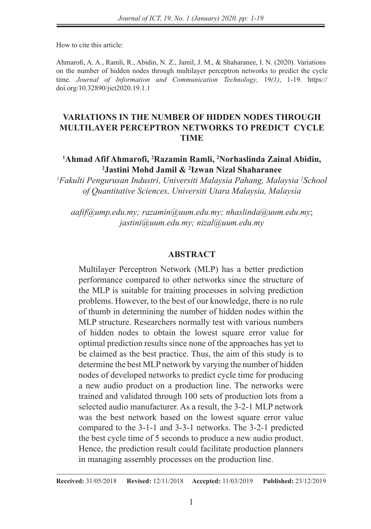How to cite this article:

Ahmarofi, A. A., Ramli, R., Abidin, N. Z., Jamil, J. M., & Shaharanee, I. N. (2020). Variations on the number of hidden nodes through multilayer perceptron networks to predict the cycle time. *Journal of Information and Communication Technology,* 19*(1)*, 1-19. https:// doi.org/10.32890/jict2020.19.1.1

## **VARIATIONS IN THE NUMBER OF HIDDEN NODES THROUGH MULTILAYER PERCEPTRON NETWORKS TO PREDICT CYCLE TIME**

## **<sup>1</sup>Ahmad Afif Ahmarofi, <sup>2</sup>Razamin Ramli, <sup>2</sup>Norhaslinda Zainal Abidin, <sup>2</sup>Jastini Mohd Jamil & <sup>2</sup> Izwan Nizal Shaharanee**

*<sup>1</sup>Fakulti Pengurusan Industri, Universiti Malaysia Pahang, Malaysia <sup>2</sup>School of Quantitative Sciences, Universiti Utara Malaysia, Malaysia*

*aafif@ump.edu.my; razamin@uum.edu.my; nhaslinda@uum.edu.my*; *jastini@uum.edu.my; nizal@uum.edu.my*

## **ABSTRACT**

Multilayer Perceptron Network (MLP) has a better prediction performance compared to other networks since the structure of the MLP is suitable for training processes in solving prediction problems. However, to the best of our knowledge, there is no rule of thumb in determining the number of hidden nodes within the MLP structure. Researchers normally test with various numbers of hidden nodes to obtain the lowest square error value for optimal prediction results since none of the approaches has yet to be claimed as the best practice. Thus, the aim of this study is to determine the best MLP network by varying the number of hidden nodes of developed networks to predict cycle time for producing a new audio product on a production line. The networks were trained and validated through 100 sets of production lots from a selected audio manufacturer. As a result, the 3-2-1 MLP network was the best network based on the lowest square error value compared to the 3-1-1 and 3-3-1 networks. The 3-2-1 predicted the best cycle time of 5 seconds to produce a new audio product. Hence, the prediction result could facilitate production planners in managing assembly processes on the production line.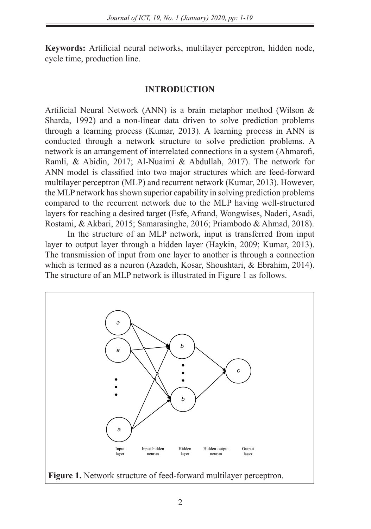**Keywords:** Artificial neural networks, multilayer perceptron, hidden node, cycle time, production line.

## **INTRODUCTION**

Artificial Neural Network (ANN) is a brain metaphor method (Wilson & Sharda, 1992) and a non-linear data driven to solve prediction problems through a learning process (Kumar, 2013). A learning process in ANN is conducted through a network structure to solve prediction problems. A network is an arrangement of interrelated connections in a system (Ahmarofi, Ramli, & Abidin, 2017; Al-Nuaimi & Abdullah, 2017). The network for ANN model is classified into two major structures which are feed-forward multilayer perceptron (MLP) and recurrent network (Kumar, 2013). However, the MLP network has shown superior capability in solving prediction problems compared to the recurrent network due to the MLP having well-structured layers for reaching a desired target (Esfe, Afrand, Wongwises, Naderi, Asadi, Rostami, & Akbari, 2015; Samarasinghe, 2016; Priambodo & Ahmad, 2018).

In the structure of an MLP network, input is transferred from input layer to output layer through a hidden layer (Haykin, 2009; Kumar, 2013). The transmission of input from one layer to another is through a connection which is termed as a neuron (Azadeh, Kosar, Shoushtari, & Ebrahim, 2014). The structure of an MLP network is illustrated in Figure 1 as follows.

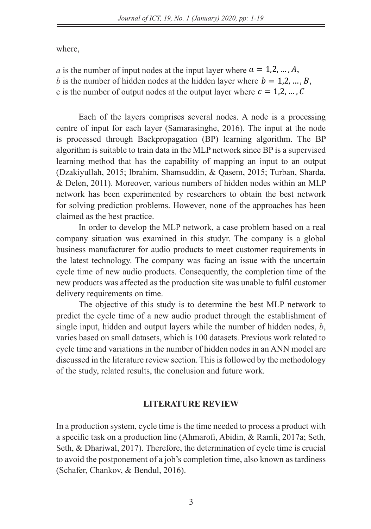where, where, where, where,

*a* is the number of input nodes at the input layer where *b* is the number of hidden nodes at the hidden layer where  $b = 1, 2, ..., B$ , c is the number of output nodes at the output layer where  $c = 1, 2, ..., C$  $\ddot{a}$  is the number of input layer  $\ddot{a}$  in  $\ddot{a}$  at the input layer where  $\ddot{a}$  ,  $\ddot{a}$  ,  $\ddot{a}$  ,  $\ddot{a}$  ,  $\ddot{a}$  ,  $\ddot{a}$  ,  $\ddot{a}$  ,  $\ddot{a}$  ,  $\ddot{a}$  ,  $\ddot{a}$  ,  $\ddot{a}$  ,  $\ddot{a}$  ,  $\ddot{$ *a* is the number of input nodes at the input layer where  $a = 1, 2, ..., A$ , *b* is the number of hidden nodes at the hidden layer where  $p = 1,2, ..., p$ , c is the number of output hours at the output layer where  $c = 1/2, ..., \infty$ 

Each of the layers comprises several nodes. A node is a processing centre of input for each layer (Samarasinghe, 2016). The input at the node is processed through Backpropagation (BP) learning algorithm. The BP algorithm is suitable to train data in the MLP network since BP is a supervised learning method that has the capability of mapping an input to an output Iberting method that has the capability of mapping an input to an output.<br>(Dzakiyullah, 2015; Ibrahim, Shamsuddin, & Qasem, 2015; Turban, Sharda, & Delen, 2011). Moreover, various numbers of hidden nodes within an MLP network has been experimented by researchers to obtain the best network for solving prediction problems. However, none of the approaches has been constraints produced produced in Male nodes, we have the more produced by the second by the constraints of the Each of the layers comprises several nodes. A node is a processing  $c = 1.1 - (0.11 - 0.01)$ centre of input for each layer (Samarasinghe, 2016). The input at the node  $\frac{1}{2}$  same input at the input at the node is processed through Background Backpropagation is equivalent at the node is proportional  $\frac{1}{2}$ (Dzakiyullah, 2015; Ibrahim, Shamsuddin, & Qasem, 2015; Turban, Sharda,

In order to develop the MLP network, a case problem based on a real company situation was examined in this studyr. The company is a global business manufacturer for audio products to meet customer requirements in the latest technology. The company was facing an issue with the uncertain explore time of new audio products. Consequently, the completion time of the the completion time of new addition products. Consequently, the completion time of the new products was affected as the production site was unable to fulfil customer delivery requirements on time. In order to develop the MLP network, a case problem based on a real new products was affected as the production site was unable to fulfil customer

The objective of this study is to determine the best MLP network to predict the cycle time of a new audio product through the establishment of single input, hidden and output layers while the number of hidden nodes,  $b$ , varies based on small datasets, which is 100 datasets. Previous work related to cycle time and variations in the number of hidden nodes in an ANN model are discussed in the literature review section. This is followed by the methodology of the study, related results, the conclusion and future work.  $\frac{1}{\sqrt{1-\frac{1}{\sqrt{1-\frac{1}{\sqrt{1-\frac{1}{\sqrt{1-\frac{1}{\sqrt{1-\frac{1}{\sqrt{1-\frac{1}{\sqrt{1-\frac{1}{\sqrt{1-\frac{1}{\sqrt{1-\frac{1}{\sqrt{1-\frac{1}{\sqrt{1-\frac{1}{\sqrt{1-\frac{1}{\sqrt{1-\frac{1}{\sqrt{1-\frac{1}{\sqrt{1-\frac{1}{\sqrt{1-\frac{1}{\sqrt{1-\frac{1}{\sqrt{1-\frac{1}{\sqrt{1-\frac{1}{\sqrt{1-\frac{1}{\sqrt{1-\frac{1}{\sqrt{1-\frac{1}{\sqrt{1-\frac{1}{\sqrt{1-\frac{1$ single input, hidden and output layers while the number of hidden nodes, *l* 

### **LITERATURE REVIEW**

In a production system, cycle time is the time needed to process a product with a specific task on a production line (Ahmarofi, Abidin, & Ramli, 2017a; Seth, Seth, & Dhariwal, 2017). Therefore, the determination of cycle time is crucial to avoid the postponement of a job's completion time, also known as tardiness (Schafer, Chankov, & Bendul, 2016).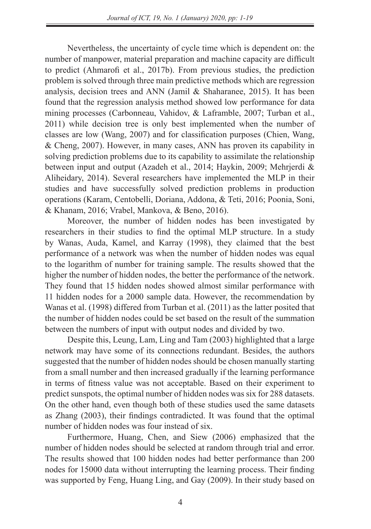Nevertheless, the uncertainty of cycle time which is dependent on: the number of manpower, material preparation and machine capacity are difficult to predict (Ahmarofi et al., 2017b). From previous studies, the prediction problem is solved through three main predictive methods which are regression analysis, decision trees and ANN (Jamil & Shaharanee, 2015). It has been found that the regression analysis method showed low performance for data mining processes (Carbonneau, Vahidov, & Laframble, 2007; Turban et al., 2011) while decision tree is only best implemented when the number of classes are low (Wang, 2007) and for classification purposes (Chien, Wang, & Cheng, 2007). However, in many cases, ANN has proven its capability in solving prediction problems due to its capability to assimilate the relationship between input and output (Azadeh et al., 2014; Haykin, 2009; Mehrjerdi & Aliheidary, 2014). Several researchers have implemented the MLP in their studies and have successfully solved prediction problems in production operations (Karam, Centobelli, Doriana, Addona, & Teti, 2016; Poonia, Soni, & Khanam, 2016; Vrabel, Mankova, & Beno, 2016).

Moreover, the number of hidden nodes has been investigated by researchers in their studies to find the optimal MLP structure. In a study by Wanas, Auda, Kamel, and Karray (1998), they claimed that the best performance of a network was when the number of hidden nodes was equal to the logarithm of number for training sample. The results showed that the higher the number of hidden nodes, the better the performance of the network. They found that 15 hidden nodes showed almost similar performance with 11 hidden nodes for a 2000 sample data. However, the recommendation by Wanas et al. (1998) differed from Turban et al. (2011) as the latter posited that the number of hidden nodes could be set based on the result of the summation between the numbers of input with output nodes and divided by two.

Despite this, Leung, Lam, Ling and Tam (2003) highlighted that a large network may have some of its connections redundant. Besides, the authors suggested that the number of hidden nodes should be chosen manually starting from a small number and then increased gradually if the learning performance in terms of fitness value was not acceptable. Based on their experiment to predict sunspots, the optimal number of hidden nodes was six for 288 datasets. On the other hand, even though both of these studies used the same datasets as Zhang (2003), their findings contradicted. It was found that the optimal number of hidden nodes was four instead of six.

Furthermore, Huang, Chen, and Siew (2006) emphasized that the number of hidden nodes should be selected at random through trial and error. The results showed that 100 hidden nodes had better performance than 200 nodes for 15000 data without interrupting the learning process. Their finding was supported by Feng, Huang Ling, and Gay (2009). In their study based on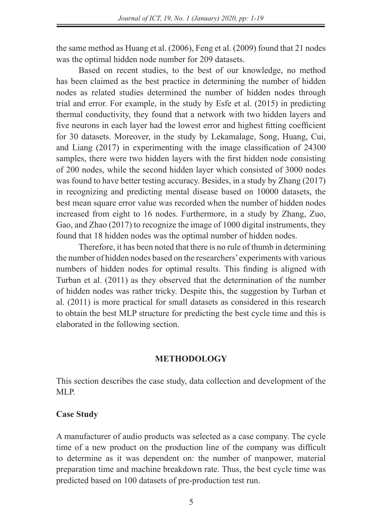the same method as Huang et al. (2006), Feng et al. (2009) found that 21 nodes was the optimal hidden node number for 209 datasets.

Based on recent studies, to the best of our knowledge, no method has been claimed as the best practice in determining the number of hidden nodes as related studies determined the number of hidden nodes through trial and error. For example, in the study by Esfe et al. (2015) in predicting thermal conductivity, they found that a network with two hidden layers and five neurons in each layer had the lowest error and highest fitting coefficient for 30 datasets. Moreover, in the study by Lekamalage, Song, Huang, Cui, and Liang (2017) in experimenting with the image classification of 24300 samples, there were two hidden layers with the first hidden node consisting of 200 nodes, while the second hidden layer which consisted of 3000 nodes was found to have better testing accuracy. Besides, in a study by Zhang (2017) in recognizing and predicting mental disease based on 10000 datasets, the best mean square error value was recorded when the number of hidden nodes increased from eight to 16 nodes. Furthermore, in a study by Zhang, Zuo, Gao, and Zhao (2017) to recognize the image of 1000 digital instruments, they found that 18 hidden nodes was the optimal number of hidden nodes.

Therefore, it has been noted that there is no rule of thumb in determining the number of hidden nodes based on the researchers' experiments with various numbers of hidden nodes for optimal results. This finding is aligned with Turban et al. (2011) as they observed that the determination of the number of hidden nodes was rather tricky. Despite this, the suggestion by Turban et al. (2011) is more practical for small datasets as considered in this research to obtain the best MLP structure for predicting the best cycle time and this is elaborated in the following section.

## **METHODOLOGY**

This section describes the case study, data collection and development of the MLP.

## **Case Study**

A manufacturer of audio products was selected as a case company. The cycle time of a new product on the production line of the company was difficult to determine as it was dependent on: the number of manpower, material preparation time and machine breakdown rate. Thus, the best cycle time was predicted based on 100 datasets of pre-production test run.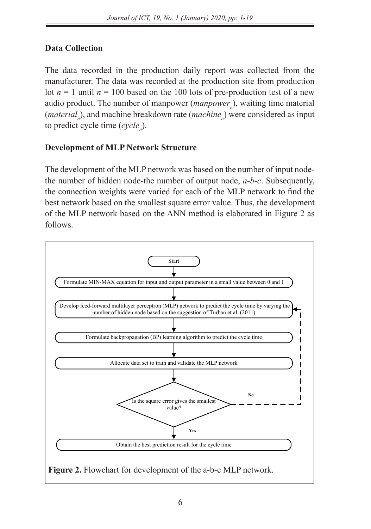# **Data Collection**

The data recorded in the production daily report was collected from the manufacturer. The data was recorded at the production site from production lot  $n = 1$  until  $n = 100$  based on the 100 lots of pre-production test of a new audio product. The number of manpower (*manpower*<sub>n</sub>), waiting time material (*material*<sub>n</sub>), and machine breakdown rate (*machine*<sub>n</sub>) were considered as input to predict cycle time (*cyclen* ).

## **Development of MLP Network Structure**

The development of the MLP network was based on the number of input nodethe number of hidden node-the number of output node, *a-b-c*. Subsequently, the connection weights were varied for each of the MLP network to find the best network based on the smallest square error value. Thus, the development of the MLP network based on the ANN method is elaborated in Figure 2 as follows.

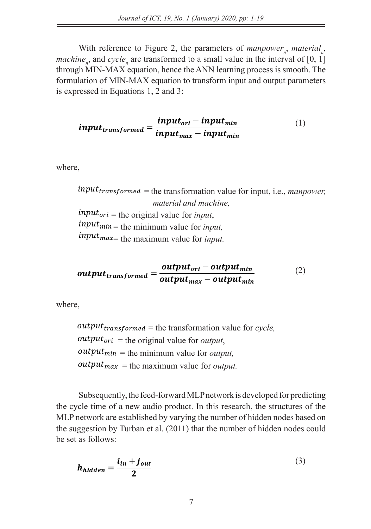With reference to Figure 2, the parameters of *manpower*<sub>*n</sub>*, *material<sub>n</sub>*,</sub> *machine*<sub>n</sub>, and *cycle*<sub>n</sub> are transformed to a small value in the interval of [0, 1] through MIN-MAX equation, hence the ANN learning process is smooth. The formulation of MIN-MAX equation to transform input and output parameters is expressed in Equations 1, 2 and 3: *Figure 4. Figure 2.* the perspective of measurer measurer tation of MIN-MAX equation to transform input and output parameters  $\mathbf{I}$  and  $\mathbf{I}$  equation to transform input and output parameters is expressed as  $\mathbf{I}$ 

$$
input_{transformed} = \frac{input_{ori} - input_{min}}{input_{max} - input_{min}} \tag{1}
$$

where,  $\overline{\phantom{a}}$ 

 $input_{transformed}$  = the transformation value for input, i.e., *manpower*,  *material and machine,* material and mach<br>input<sub>ori</sub> = the original value for *input*,  $input_{min}$  = the minimum value for *input,*  $input_{max}$  the maximum value for *input.* where, = the transformation value for input, i.e., *manpower, material and machine,*  $input_{ori}$  = the original value for *input*,  $\mu_1 \mu_2 \mu_3 \mu_4$  = the original value for *input,*<br>  $\mu_1 \mu_2 \mu_3 \mu_5$  = the minimum value for *input,*  $input_{max}$  = the maximum value for *input.* nsformed = the transformation value for input, i.e., manpower,  $\mathcal{L}$ 

$$
output_{transformed} = \frac{output_{ori} - output_{min}}{output_{max} - output_{min}} \qquad (2)
$$

where, where, where,  $\mathbf{w}$  $\sim$  $\overline{\phantom{a}}$ 

 $output_{transformed}$  = the transformation value for *cycle*,  $output_{ori}$  = the original value for *output*,  $output_{min} =$  the minimum value for *output,*<br>  $output_{min} =$  $output_{max}$  = the maximum value for *output.*  = the transformation value for *cycle,* = the transformation value for *cycle,*  $output_{transformed} =$  the transformation value for *cycle*,<br>  $output_{\text{rel}} =$  the existingly value for *extrat*  $output_{ori}$  = the original value for *output*,  $\frac{1}{100}$   $\frac{1}{100}$   $\frac{1}{100}$   $\frac{1}{100}$   $\frac{1}{100}$   $\frac{1}{100}$   $\frac{1}{100}$   $\frac{1}{100}$   $\frac{1}{100}$  = the maximum value for *output.*  $output_{max}$  = the maximum value for *output*.

Subsequently, the feed-forward MLP network is developed for predicting the cycle time of a new audio product. In this research, the structures of the MLP network are established by varying the number of hidden nodes based on the suggestion by Turban et al.  $(2011)$  that the number of hidden nodes could  $\frac{1}{2}$  be set as follows: Subsequently, the feed-forward MLP network is developed for predicting  $\frac{1}{2}$  as follows:  $u_0$  and  $v_0$  is the suggestion by  $u_0$  and  $u_1$  is number of induction by  $u_0$  as the number of  $u_0$ example by varying the number of hidden nodes based on

$$
h_{hidden} = \frac{i_{in} + j_{out}}{2}
$$
 (3)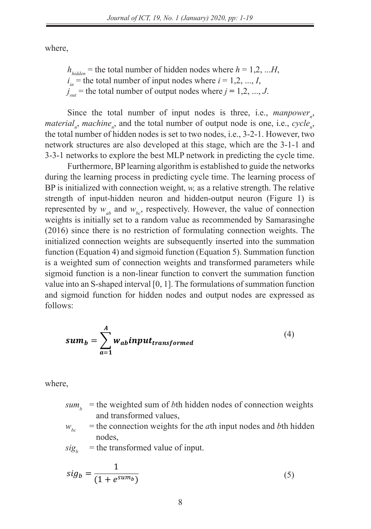where,

 $h_{hidden}$  = the total number of hidden nodes where  $h = 1,2, ...H$ ,  $i_{in}$  = the total number of input nodes where  $i = 1, 2, ..., I$ ,  $j_{out}$  = the total number of output nodes where  $j = 1, 2, ..., J$ .

Since the total number of input nodes is three, i.e.,  $mampower_n$ , *material<sub>n</sub>*, *machine<sub>n</sub>*, and the total number of output node is one, i.e., *cycle<sub>n</sub>*, the total number of hidden nodes is set to two nodes, i.e., 3-2-1. However, two network structures are also developed at this stage, which are the 3-1-1 and 3-3-1 networks to explore the best MLP network in predicting the cycle time.

Furthermore, BP learning algorithm is established to guide the networks during the learning process in predicting cycle time. The learning process of  $\overline{D}$ during the rearning process in predicting cycle time. The rearning process of BP is initialized with connection weight, *w*, as a relative strength. The relative strength of input-hidden neuron and hidden-output neuron (Figure 1) is represented by  $w_{ab}$  and  $w_{bc}$  respectively. However, the value of connection weights is initially set to a random value as recommended by Samarasinghe (2016) since there is no restriction of formulating connection weights. The  $(2016)$  since there is no restriction of formulating connection weights. The initialized connection weights are subsequently inserted into the summation function (Equation 4) and sigmoid function (Equation 5). Summation function is a weighted sum of connection weights and transformed parameters while sigmoid function is a non-linear function to convert the summation function value into an S-shaped interval [0, 1]. The formulations of summation function and sigmoid function for hidden nodes and output nodes are expressed as  $\frac{1}{2}$  follows: follows:  $f(x)$ . S.

$$
sum_b = \sum_{a=1}^{A} w_{ab} input_{transformed}
$$
 (4)

where,

- $sum_b$  = the weighted sum of *b*th hidden nodes of connection weights  $\mu_{\text{tot}}$  and transformed values,  $\mu_{\text{tot}}$  and transformed values, where, =
- $w_{bc}$  = the connection weights for the *a*th input nodes and *b*th hidden nodes,

 $sig_b$  = the transformed value of input.

$$
sig_b = \frac{1}{(1 + e^{sum_b})}
$$
 (5)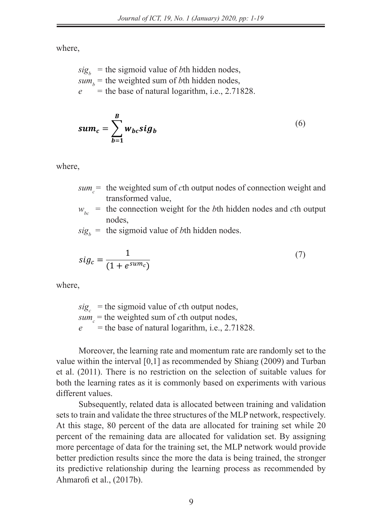where,

 $sig_b$  = the sigmoid value of *b*th hidden nodes,  $sum_b$  = the weighted sum of *b*th hidden nodes,  $e$  = the base of natural logarithm, i.e., 2.71828.  $\mathbf{w}$  $=$  the hose of noticeal localities r, en nodes,

$$
sum_c = \sum_{b=1}^{B} w_{bc} sig_b
$$
 (6)

where,

- $sum_c$  the weighted sum of *c*th output nodes of connection weight and transformed value, the the weight of  $\alpha$  connection weight and transformed value,
- $w_{bc}$  = the connection weight for the *b*th hidden nodes and *c*th output nodes,  $W_{bc}$  and connection weight for the *b*th maden nodes and *c*th output nodes.
- $sig_b$  = the sigmoid value of *b*th hidden nodes.

$$
sig_c = \frac{1}{(1 + e^{sum_c})}
$$
 (7)

where,

 $sig_c$  = the sigmoid value of *c*th output nodes,  $s_{\iota} s_{\iota}$  = the weighted sum of *c*th output nodes,  $e^+$  = the base of natural logarithm, i.e., 2.71828. = the sigmoid value of *c*th output nodes,

Moreover, the learning rate and momentum rate are randomly set to the value within the interval [0,1] as recommended by Shiang (2009) and Turban et al.  $(2011)$ . There is no restriction on the selection of suitable values for both the learning rates as it is commonly based on experiments with various different values.

Subsequently, related data is allocated between training and validation sets to train and validate the three structures of the MLP network, respectively. At this stage, 80 percent of the data are allocated for training set while 20 percent of the remaining data are allocated for validation set. By assigning more percentage of data for the training set, the MLP network would provide better prediction results since the more the data is being trained, the stronger its predictive relationship during the learning process as recommended by Ahmarofi et al., (2017b).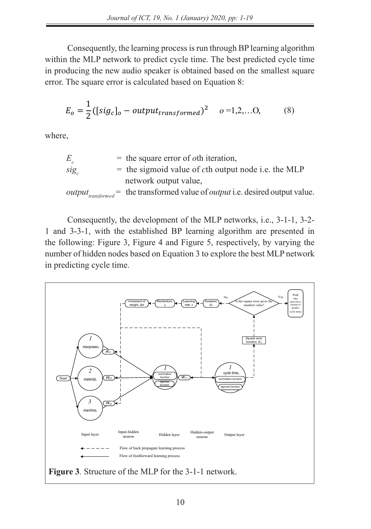by Ahmarofi et al., (2017).

Consequently, the learning process is run through BP learning algorithm within the MLP network to predict cycle time. The best predicted cycle time in producing the new audio speaker is obtained based on the smallest square error. The square error is calculated based on Equation 8:  $\frac{1}{\sqrt{2}}$  consequently, the learning process is run through BP learning algorithm

$$
E_o = \frac{1}{2} ([sig_c]_o - output_{transformed})^2 \quad o = 1, 2, \dots O,
$$
 (8)

where,

$$
E_c
$$
 = the square error of *o*th iteration,  
\n
$$
sig_c
$$
 = the sigmoid value of *c*th output node i.e. the MLP  
\nnetwork output value,  
\n
$$
output_{transformed}
$$
 = the transformed value of *output* i.e. desired output value.

Consequently, the development of the MLP networks, i.e., 3-1-1, 3-2-1 and 3-3-1, with the established BP

Consequently, the development of the MLP networks, i.e., 3-1-1, 3-2-1 and 3-3-1, with the established BP learning algorithm are presented in the following: Figure 3, Figure 4 and Figure 5, respectively, by varying the number of hidden nodes based on Equation 3 to explore the best MLP network in predicting cycle time.

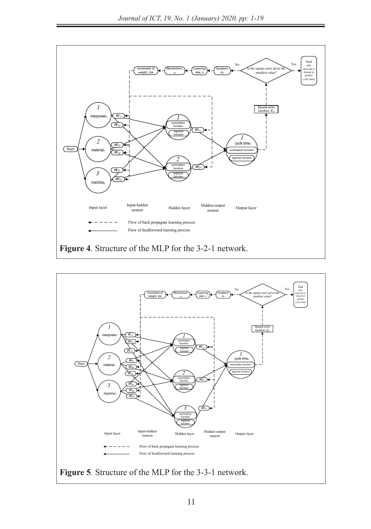Flow of feedforward learning process



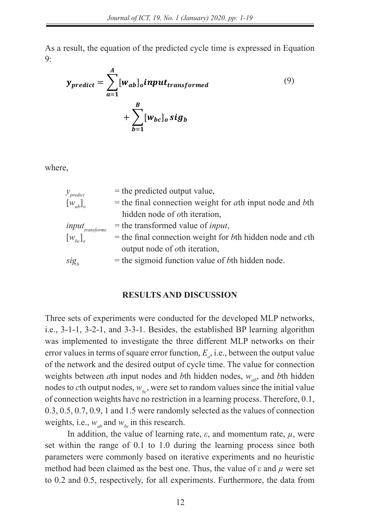*Figure 5.* Structure of the MLP for the 3-3-1 network.

As a result, the equation of the predicted cycle time is expressed in Equation 9:

$$
y_{predict} = \sum_{a=1}^{A} [w_{ab}]_o input_{transformed}
$$
  
+ 
$$
\sum_{b=1}^{B} [w_{bc}]_o sig_b
$$
 (9)

where, [] = the final connection weight for *a*th input node and *b*th hidden node of *o*th iteration,

| $y$ <sub>predict</sub>      | $=$ the predicted output value,                                             |
|-----------------------------|-----------------------------------------------------------------------------|
| $\left[w_{ab}\right]_o$     | $=$ the final connection weight for <i>a</i> th input node and <i>b</i> th  |
|                             | hidden node of <i>oth</i> iteration,                                        |
| input <sub>transforme</sub> | $=$ the transformed value of <i>input</i> ,                                 |
| $\left[w_{bc}\right]_o$     | $=$ the final connection weight for <i>b</i> th hidden node and <i>c</i> th |
|                             | output node of <i>oth</i> iteration,                                        |
| sig <sub>r</sub>            | $=$ the sigmoid function value of <i>bth</i> hidden node.                   |
|                             |                                                                             |

#### **RESULTS AND DISCUSSION** BESIDES, THE ESTABLISHED BESIDES IN PLACED BE LESS IMPLEMENTED TO INVESTIGATE THE THREE DIFFERENCE THREE DIFFERENCES

Three sets of experiments were conducted for the developed MLP networks, i.e., 3-1-1, 3-2-1, and 3-3-1. Besides, the established BP learning algorithm was implemented to investigate the three different MLP networks on their error values in terms of square error function,  $E_{\rho}$ , i.e., between the output value of the network and the desired output of cycle time. The value for connection weights between *a*th input nodes and *b*th hidden nodes,  $w_{ab}$ , and *bth* hidden nodes to *c*th output nodes,  $w_{bc}$ , were set to random values since the initial value of connection weights have no restriction in a learning process. Therefore, 0.1, 0.3, 0.5, 0.7, 0.9, 1 and 1.5 were randomly selected as the values of connection weights, i.e.,  $w_{ab}$  and  $w_{bc}$  in this research.

In addition, the value of learning rate,  $\varepsilon$ , and momentum rate,  $\mu$ , were set within the range of 0.1 to 1.0 during the learning process since both parameters were commonly based on iterative experiments and no heuristic method had been claimed as the best one. Thus, the value of *ε* and *µ* were set to 0.2 and 0.5, respectively, for all experiments. Furthermore, the data from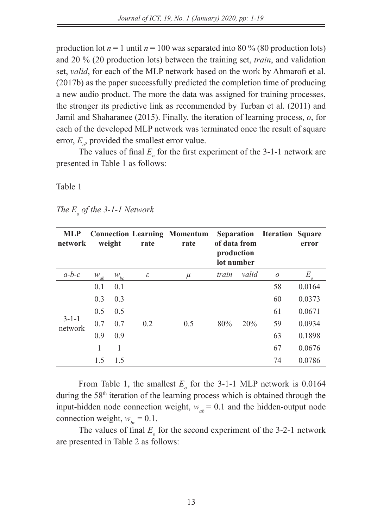production lot  $n = 1$  until  $n = 100$  was separated into 80 % (80 production lots) and 20 % (20 production lots) between the training set, *train*, and validation set, *valid*, for each of the MLP network based on the work by Ahmarofi et al. (2017b) as the paper successfully predicted the completion time of producing a new audio product. The more the data was assigned for training processes, the stronger its predictive link as recommended by Turban et al. (2011) and Jamil and Shaharanee (2015). Finally, the iteration of learning process, *o*, for each of the developed MLP network was terminated once the result of square error,  $E_{\rho}$ , provided the smallest error value.

The values of final  $E_{\rho}$  for the first experiment of the 3-1-1 network are presented in Table 1 as follows:

Table 1

| The $E_{\rho}$ of the 3-1-1 Network |  |
|-------------------------------------|--|
|-------------------------------------|--|

| <b>MLP</b><br>network  |          | weight             | rate | <b>Connection Learning Momentum</b><br>rate | of data from<br>production<br>lot number |       | Separation Iteration Square | error          |
|------------------------|----------|--------------------|------|---------------------------------------------|------------------------------------------|-------|-----------------------------|----------------|
| $a-b-c$                | $W_{ab}$ | $\mathcal{W}_{bc}$ | ε    | $\mu$                                       | train                                    | valid | $\overline{O}$              | E.<br>$\Omega$ |
|                        | 0.1      | 0.1                |      |                                             |                                          |       | 58                          | 0.0164         |
|                        | 0.3      | 0.3                |      |                                             |                                          |       | 60                          | 0.0373         |
|                        | 0.5      | 0.5                |      |                                             |                                          |       | 61                          | 0.0671         |
| $3 - 1 - 1$<br>network | 0.7      | 0.7                | 0.2  | 0.5                                         | 80%                                      | 20%   | 59                          | 0.0934         |
|                        | 0.9      | 0.9                |      |                                             |                                          |       | 63                          | 0.1898         |
|                        | 1        | 1                  |      |                                             |                                          |       | 67                          | 0.0676         |
|                        | 1.5      | 1.5                |      |                                             |                                          |       | 74                          | 0.0786         |

From Table 1, the smallest  $E_{\rho}$  for the 3-1-1 MLP network is 0.0164 during the 58<sup>th</sup> iteration of the learning process which is obtained through the input-hidden node connection weight,  $w_{ab} = 0.1$  and the hidden-output node connection weight,  $w_{bc} = 0.1$ .

The values of final  $E_{\rho}$  for the second experiment of the 3-2-1 network are presented in Table 2 as follows: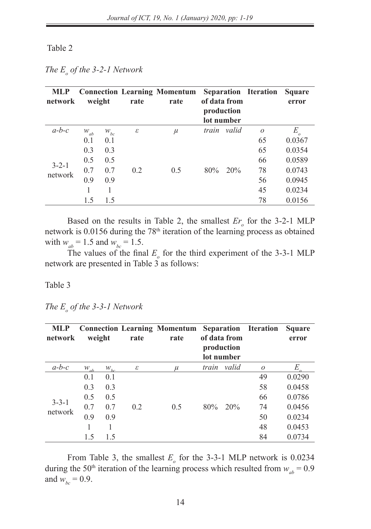#### Table 2

*The*  $E_o$  *of the 3-2-1 Network* 

| <b>MLP</b><br>network  |          | weight   | rate                       | <b>Connection Learning Momentum</b><br>rate |       | of data from<br>production<br>lot number | <b>Separation Iteration</b> | <b>Square</b><br>error     |
|------------------------|----------|----------|----------------------------|---------------------------------------------|-------|------------------------------------------|-----------------------------|----------------------------|
| $a-b-c$                | $W_{ab}$ | $W_{bc}$ | $\boldsymbol{\varepsilon}$ | $\mu$                                       | train | valid                                    | $\overline{O}$              | $E_{\scriptscriptstyle o}$ |
|                        | 0.1      | 0.1      |                            |                                             |       |                                          | 65                          | 0.0367                     |
|                        | 0.3      | 0.3      |                            |                                             |       |                                          | 65                          | 0.0354                     |
|                        | 0.5      | 0.5      |                            |                                             |       |                                          | 66                          | 0.0589                     |
| $3 - 2 - 1$<br>network | 0.7      | 0.7      | 0.2                        | 0.5                                         | 80%   | 20%                                      | 78                          | 0.0743                     |
|                        | 0.9      | 0.9      |                            |                                             |       |                                          | 56                          | 0.0945                     |
|                        |          |          |                            |                                             |       |                                          | 45                          | 0.0234                     |
|                        | 1.5      | 1.5      |                            |                                             |       |                                          | 78                          | 0.0156                     |

Based on the results in Table 2, the smallest  $Er<sub>o</sub>$  for the 3-2-1 MLP network is 0.0156 during the 78<sup>th</sup> iteration of the learning process as obtained with  $w_{ab} = 1.5$  and  $w_{bc} = 1.5$ .

The values of the final  $E_{\rho}$  for the third experiment of the 3-3-1 MLP network are presented in Table 3 as follows:

Table 3

*The*  $E_{o}$  *of the 3-3-1 Network* 

| <b>MLP</b><br>network |          | weight   | rate | <b>Connection Learning Momentum</b><br>rate |       | of data from<br>production<br>lot number | <b>Separation</b> Iteration | <b>Square</b><br>error |
|-----------------------|----------|----------|------|---------------------------------------------|-------|------------------------------------------|-----------------------------|------------------------|
| $a-b-c$               | $W_{ab}$ | $W_{bc}$ | ε    | $\mu$                                       | train | valid                                    | $\overline{O}$              | E                      |
|                       | 0.1      | 0.1      |      |                                             |       |                                          | 49                          | 0.0290                 |
|                       | 0.3      | 0.3      |      |                                             |       |                                          | 58                          | 0.0458                 |
| $3 - 3 - 1$           | 0.5      | 0.5      |      |                                             |       |                                          | 66                          | 0.0786                 |
| network               | 0.7      | 0.7      | 0.2  | 0.5                                         | 80%   | 20%                                      | 74                          | 0.0456                 |
|                       | 0.9      | 0.9      |      |                                             |       |                                          | 50                          | 0.0234                 |
|                       |          |          |      |                                             |       |                                          | 48                          | 0.0453                 |
|                       | 1.5      | 1.5      |      |                                             |       |                                          | 84                          | 0.0734                 |

From Table 3, the smallest  $E_{\rho}$  for the 3-3-1 MLP network is 0.0234 during the 50<sup>th</sup> iteration of the learning process which resulted from  $w_{ab} = 0.9$ and  $w_{bc} = 0.9$ .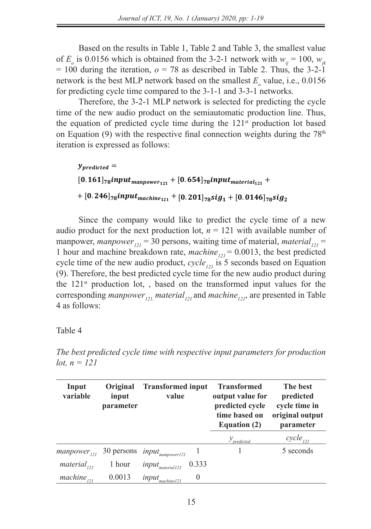learning process which resulted from *wab* = 0.9 and *wbc* = 0.9.

Based on the results in Table 1, Table 2 and Table 3, the smallest value of  $E_o$  is 0.0156 which is obtained from the 3-2-1 network with  $w_{ij} = 100$ ,  $w_{jk}$  $= 100$  during the iteration,  $o = 78$  as described in Table 2. Thus, the 3-2-1 network is the best MLP network based on the smallest  $E_{\rho}$  value, i.e., 0.0156 for predicting cycle time compared to the 3-1-1 and 3-3-1 networks. from the 3-2-1 network with *wij* = 100, *wjk* = 100 during the iteration, *o* = 78 as described in Table 2. Thus, the 3-2-1 network is the best MLP network based on the smallest *Eo* value, i.e., 0.0156 for

Therefore, the  $3-2-1$  MLP network is selected for predicting the cycle time of the new audio product on  $\frac{1}{\sqrt{2}}$ time of the new audio product on the semiautomatic production line. Thus, the equation of predicted cycle time during the 121<sup>st</sup> production lot based on Equation (9) with the respective final connection weights during the  $78<sup>th</sup>$ iteration is expressed as follows: predicting cycle time compared to the 3-1-1 and 3-3-1 networks.

 $y_{predicted}$  =  $[0.161]_{78}$ input<sub>manpower</sup>121</sub> +  $[0.654]_{78}$ input<sub>material121</sub> +  $+~[0.246]_{78}$ input $_{machine_{121}}$  +  $[0.201]_{78}$ si $g_1$  +  $[0.0146]_{78}$ si $g_2$  $\mathbb{R}^2$  =  $\mathbb{R}^3$  ,  $\mathbb{R}^3$  =  $\mathbb{R}^4$  muterial  $\mathbb{R}^3$ 

Since the company would like to predict the cycle time of a new audio product for the next production lot,  $n = 121$  with available number of manpower, manpower<sub>121</sub> = 30 persons, waiting time of material, material,  $\frac{1}{2}$ 1 hour and machine breakdown rate, *machine*<sub>121</sub> = 0.0013, the best predicted cycle time of the new audio product,  $cycle_{121}$  is 5 seconds based on Equation by the time of the new additional product, cycle  $_{121}$  is 3 seconds based on Equation (9). Therefore, the best predicted cycle time for the new audio product during the 121<sup>st</sup> production lot, , based on the transformed input values for the corresponding *manpower*<sub>121,</sub> material<sub>121</sub> and *machine*<sub>121</sub>, are presented in Table 4 as follows:

Table 4 *The best predicted cycle time with respective input parameters for production lot, n = 121*

From Table 3, the smallest *Eo* for the 3-3-1 MLP network is 0.0234 during the 50th iteration of the

*The best predicted cycle time with respective input parameters for production*  $\alpha$ *lot, n = 121 s* for *producti* **Transformed input value Transformed** rst predicted cyc **The best predicted**  *ce with respective input paramet* 

| Input<br>variable | Original<br>input<br><i>parameter</i> | <b>Transformed input</b><br>value                 | <b>Transformed</b><br>output value for<br>predicted cycle<br>time based on<br><b>Equation (2)</b> | The best<br>predicted<br>cycle time in<br>original output<br>parameter |
|-------------------|---------------------------------------|---------------------------------------------------|---------------------------------------------------------------------------------------------------|------------------------------------------------------------------------|
|                   |                                       |                                                   | $y$ <sub>predicted</sub>                                                                          | $cycle_{121}$                                                          |
|                   |                                       | $mampower_{121}$ 30 persons $input_{mampower121}$ |                                                                                                   | 5 seconds                                                              |
| $material_{121}$  | l hour                                | $input_{material 121}$ 0.333                      |                                                                                                   |                                                                        |
| $machine_{121}$   | 0.0013                                | $\theta$<br>$input_{machine121}$                  |                                                                                                   |                                                                        |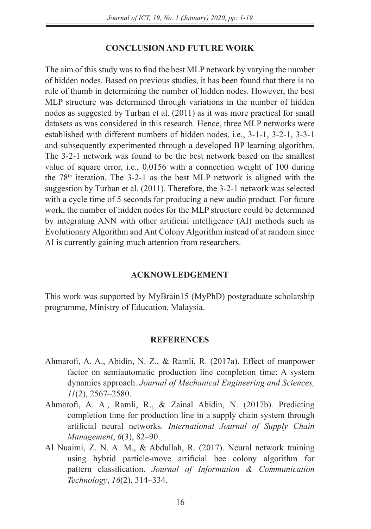### **CONCLUSION AND FUTURE WORK**

The aim of this study was to find the best MLP network by varying the number of hidden nodes. Based on previous studies, it has been found that there is no rule of thumb in determining the number of hidden nodes. However, the best MLP structure was determined through variations in the number of hidden nodes as suggested by Turban et al. (2011) as it was more practical for small datasets as was considered in this research. Hence, three MLP networks were established with different numbers of hidden nodes, i.e., 3-1-1, 3-2-1, 3-3-1 and subsequently experimented through a developed BP learning algorithm. The 3-2-1 network was found to be the best network based on the smallest value of square error, i.e., 0.0156 with a connection weight of 100 during the 78th iteration. The 3-2-1 as the best MLP network is aligned with the suggestion by Turban et al. (2011). Therefore, the 3-2-1 network was selected with a cycle time of 5 seconds for producing a new audio product. For future work, the number of hidden nodes for the MLP structure could be determined by integrating ANN with other artificial intelligence (AI) methods such as Evolutionary Algorithm and Ant Colony Algorithm instead of at random since AI is currently gaining much attention from researchers.

### **ACKNOWLEDGEMENT**

This work was supported by MyBrain15 (MyPhD) postgraduate scholarship programme, Ministry of Education, Malaysia.

### **REFERENCES**

- Ahmarofi, A. A., Abidin, N. Z., & Ramli, R. (2017a). Effect of manpower factor on semiautomatic production line completion time: A system dynamics approach. *Journal of Mechanical Engineering and Sciences, 11*(2), 2567–2580.
- Ahmarofi, A. A., Ramli, R., & Zainal Abidin, N. (2017b). Predicting completion time for production line in a supply chain system through artificial neural networks. *International Journal of Supply Chain Management*, *6*(3), 82–90.
- Al Nuaimi, Z. N. A. M., & Abdullah, R. (2017). Neural network training using hybrid particle-move artificial bee colony algorithm for pattern classification. *Journal of Information & Communication Technology*, *16*(2), 314–334.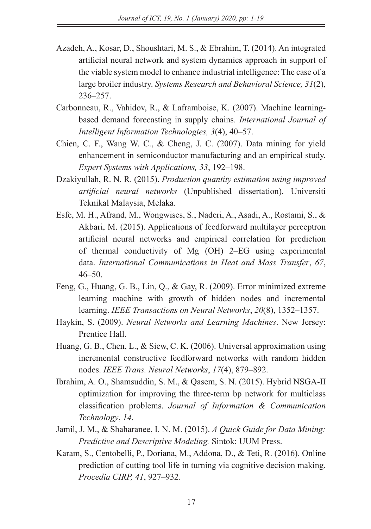- Azadeh, A., Kosar, D., Shoushtari, M. S., & Ebrahim, T. (2014). An integrated artificial neural network and system dynamics approach in support of the viable system model to enhance industrial intelligence: The case of a large broiler industry. *Systems Research and Behavioral Science, 31*(2), 236–257.
- Carbonneau, R., Vahidov, R., & Laframboise, K. (2007). Machine learningbased demand forecasting in supply chains. *International Journal of Intelligent Information Technologies, 3*(4), 40–57.
- Chien, C. F., Wang W. C., & Cheng, J. C. (2007). Data mining for yield enhancement in semiconductor manufacturing and an empirical study. *Expert Systems with Applications, 33*, 192–198.
- Dzakiyullah, R. N. R. (2015). *Production quantity estimation using improved artificial neural networks* (Unpublished dissertation). Universiti Teknikal Malaysia, Melaka.
- Esfe, M. H., Afrand, M., Wongwises, S., Naderi, A., Asadi, A., Rostami, S., & Akbari, M. (2015). Applications of feedforward multilayer perceptron artificial neural networks and empirical correlation for prediction of thermal conductivity of Mg (OH) 2–EG using experimental data. *International Communications in Heat and Mass Transfer*, *67*,  $46 - 50$
- Feng, G., Huang, G. B., Lin, Q., & Gay, R. (2009). Error minimized extreme learning machine with growth of hidden nodes and incremental learning. *IEEE Transactions on Neural Networks*, *20*(8), 1352–1357.
- Haykin, S. (2009). *Neural Networks and Learning Machines*. New Jersey: Prentice Hall.
- Huang, G. B., Chen, L., & Siew, C. K. (2006). Universal approximation using incremental constructive feedforward networks with random hidden nodes. *IEEE Trans. Neural Networks*, *17*(4), 879–892.
- Ibrahim, A. O., Shamsuddin, S. M., & Qasem, S. N. (2015). Hybrid NSGA-II optimization for improving the three-term bp network for multiclass classification problems. *Journal of Information & Communication Technology*, *14*.
- Jamil, J. M., & Shaharanee, I. N. M. (2015). *A Quick Guide for Data Mining: Predictive and Descriptive Modeling.* Sintok: UUM Press.
- Karam, S., Centobelli, P., Doriana, M., Addona, D., & Teti, R. (2016). Online prediction of cutting tool life in turning via cognitive decision making. *Procedia CIRP, 41*, 927–932.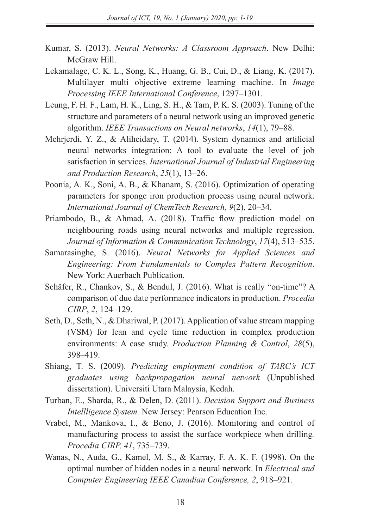- Kumar, S. (2013). *Neural Networks: A Classroom Approach*. New Delhi: McGraw Hill.
- Lekamalage, C. K. L., Song, K., Huang, G. B., Cui, D., & Liang, K. (2017). Multilayer multi objective extreme learning machine. In *Image Processing IEEE International Conference*, 1297–1301.
- Leung, F. H. F., Lam, H. K., Ling, S. H., & Tam, P. K. S. (2003). Tuning of the structure and parameters of a neural network using an improved genetic algorithm. *IEEE Transactions on Neural networks*, *14*(1), 79–88.
- Mehrjerdi, Y. Z., & Aliheidary, T. (2014). System dynamics and artificial neural networks integration: A tool to evaluate the level of job satisfaction in services. *International Journal of Industrial Engineering and Production Research*, *25*(1), 13–26.
- Poonia, A. K., Soni, A. B., & Khanam, S. (2016). Optimization of operating parameters for sponge iron production process using neural network. *International Journal of ChemTech Research, 9*(2), 20–34.
- Priambodo, B., & Ahmad, A. (2018). Traffic flow prediction model on neighbouring roads using neural networks and multiple regression. *Journal of Information & Communication Technology*, *17*(4), 513–535.
- Samarasinghe, S. (2016). *Neural Networks for Applied Sciences and Engineering: From Fundamentals to Complex Pattern Recognition*. New York: Auerbach Publication.
- Schäfer, R., Chankov, S., & Bendul, J. (2016). What is really "on-time"? A comparison of due date performance indicators in production. *Procedia CIRP*, *2*, 124–129.
- Seth, D., Seth, N., & Dhariwal, P. (2017). Application of value stream mapping (VSM) for lean and cycle time reduction in complex production environments: A case study. *Production Planning & Control*, *28*(5), 398–419.
- Shiang, T. S. (2009). *Predicting employment condition of TARC's ICT graduates using backpropagation neural network* (Unpublished dissertation). Universiti Utara Malaysia, Kedah.
- Turban, E., Sharda, R., & Delen, D. (2011). *Decision Support and Business Intellligence System.* New Jersey: Pearson Education Inc.
- Vrabel, M., Mankova, I., & Beno, J. (2016). Monitoring and control of manufacturing process to assist the surface workpiece when drilling*. Procedia CIRP, 41*, 735–739.
- Wanas, N., Auda, G., Kamel, M. S., & Karray, F. A. K. F. (1998). On the optimal number of hidden nodes in a neural network. In *Electrical and Computer Engineering IEEE Canadian Conference, 2*, 918–921.